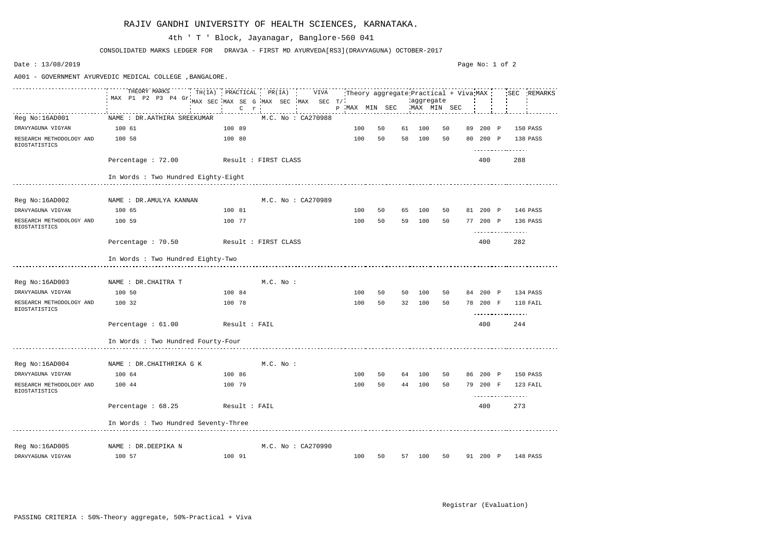#### RAJIV GANDHI UNIVERSITY OF HEALTH SCIENCES, KARNATAKA.

Page No: 1 of 2Date : 13/08/2019 A001 - GOVERNMENT AYURVEDIC MEDICAL COLLEGE ,BANGALORE. THEORY MARKS <u>. . . . . . . . . . . . .</u> TH(IA) PRACTICAL PR(IA) VIVA Theory aggregate Practical + Viva SEC REMARKS MAX P1 P2 P3 P4 Gr MAX SEC MAX SE G MAX SEC MAX SEC T/ aggregate MAX MIN SEC MAX MIN SEC P MAX MIN SEC C r Reg No:16AD001 NAME : DR.AATHIRA SREEKUMAR M.C. No : CA270988 DRAVYAGUNA VIGYAN 100 61 100 89 100 50 61 100 50 89 200 P 150 PASS RESEARCH METHODOLOGY AND 100 58 100 80 100 50 58 100 50 80 200 P 138 PASS BIOSTATISTICS . . . . . . . . . . . . . . . . . . Percentage : 72.00 Result : FIRST CLASS 400 288 In Words : Two Hundred Eighty-Eight Reg No:16AD002 MAME : DR.AMULYA KANNAN M.C. No : CA270989 DRAVYAGUNA VIGYAN 100 65 100 81 100 50 65 100 50 81 200 P 146 PASS RESEARCH METHODOLOGY AND 100 59 100 77 100 50 59 100 50 77 200 P 136 PASS BIOSTATISTICS <u>. . . . . . . . . . . . . . . . .</u> Percentage : 70.50 Result : FIRST CLASS 400 282 In Words : Two Hundred Eighty-Two Req No:16AD003 NAME : DR.CHAITRA T M.C. No : DRAVYAGUNA VIGYAN 100 50 100 84 100 50 50 100 50 84 200 P 134 PASS RESEARCH METHODOLOGY AND 100 32 100 78 100 50 32 100 50 78 200 F 110 FAIL BIOSTATISTICS . . . . . . . . . . . . . . . . . . Percentage : 61.00 Result : FAIL 400 244 In Words : Two Hundred Fourty-Four Reg No:16AD004 NAME : DR.CHAITHRIKA G K M.C. No : DRAVYAGUNA VIGYAN 100 64 100 86 100 50 64 100 50 86 200 P 150 PASS RESEARCH METHODOLOGY AND 100 44 100 79 100 50 44 100 50 79 200 F 123 FAIL BIOSTATISTICS <u>. . . . . . . . . . . . . . . . .</u> Percentage : 68.25 Result : FAIL 400 273 In Words : Two Hundred Seventy-Three Reg No:16AD005 NAME : DR.DEEPIKA N M.C. No : CA270990 DRAVYAGUNA VIGYAN 100 57 100 91 100 50 57 100 50 91 200 P 148 PASS

CONSOLIDATED MARKS LEDGER FOR DRAV3A - FIRST MD AYURVEDA[RS3](DRAVYAGUNA) OCTOBER-2017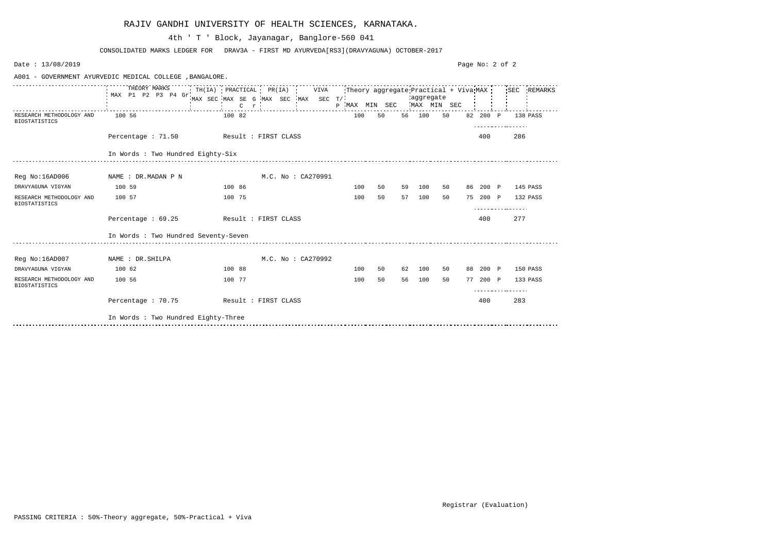| Date: 13/08/2019                                 |                                                          |                                                                                                                                          |                    |                           |    |    |           |    | Page No: 2 of 2 |                   |  |
|--------------------------------------------------|----------------------------------------------------------|------------------------------------------------------------------------------------------------------------------------------------------|--------------------|---------------------------|----|----|-----------|----|-----------------|-------------------|--|
|                                                  | A001 - GOVERNMENT AYURVEDIC MEDICAL COLLEGE , BANGALORE. |                                                                                                                                          |                    |                           |    |    |           |    |                 |                   |  |
|                                                  | THEORY MARKS<br>MAX P1 P2 P3 P4 Gr                       | TH(IA) PRACTICAL PR(IA) VIVA Theory aggregate Practical + Viva MAX SEC REMARKS<br>MAX SEC MAX SE G MAX SEC MAX SEC T/<br>$C$ $r$ $\cdot$ |                    | P MAX MIN SEC MAX MIN SEC |    |    | aggregate |    |                 |                   |  |
| RESEARCH METHODOLOGY AND<br><b>BIOSTATISTICS</b> | 100 56                                                   | 100 82                                                                                                                                   |                    | 100                       | 50 |    | 56 100    | 50 | 82 200 P        | 138 PASS<br>.     |  |
|                                                  | Percentage : 71.50 Result : FIRST CLASS                  |                                                                                                                                          |                    |                           |    |    |           |    | 400             | 286               |  |
|                                                  | In Words : Two Hundred Eighty-Six                        |                                                                                                                                          |                    |                           |    |    |           |    |                 |                   |  |
| Reg No:16AD006                                   | NAME : DR.MADAN P N                                      |                                                                                                                                          | M.C. No : CA270991 |                           |    |    |           |    |                 |                   |  |
| DRAVYAGUNA VIGYAN                                | 100 59                                                   | 100 86                                                                                                                                   |                    | 100                       | 50 | 59 | 100       | 50 |                 | 86 200 P 145 PASS |  |
| RESEARCH METHODOLOGY AND<br><b>BIOSTATISTICS</b> | 100 57                                                   | 100 75                                                                                                                                   |                    | 100                       | 50 |    | 57 100    | 50 | 75 200 P        | 132 PASS          |  |
|                                                  | Percentage $: 69.25$                                     | Result : FIRST CLASS                                                                                                                     |                    |                           |    |    |           |    | 400             | 277               |  |
|                                                  | In Words : Two Hundred Seventy-Seven                     |                                                                                                                                          |                    |                           |    |    |           |    |                 |                   |  |
| Reg No:16AD007                                   | NAME : DR. SHILPA                                        |                                                                                                                                          | M.C. No: CA270992  |                           |    |    |           |    |                 |                   |  |
| DRAVYAGUNA VIGYAN                                | 100 62                                                   | 100 88                                                                                                                                   |                    | 100                       | 50 | 62 | 100       | 50 | 88 200 P        | 150 PASS          |  |
| RESEARCH METHODOLOGY AND<br><b>BIOSTATISTICS</b> | 100 56                                                   | 100 77                                                                                                                                   |                    | 100                       | 50 | 56 | 100       | 50 | 77 200 P        | 133 PASS          |  |
|                                                  | Percentage : 70.75 Result : FIRST CLASS                  |                                                                                                                                          |                    |                           |    |    |           |    | 400             | 283               |  |
|                                                  | In Words : Two Hundred Eighty-Three                      |                                                                                                                                          |                    |                           |    |    |           |    |                 |                   |  |

## RAJIV GANDHI UNIVERSITY OF HEALTH SCIENCES, KARNATAKA.

CONSOLIDATED MARKS LEDGER FOR DRAV3A - FIRST MD AYURVEDA[RS3](DRAVYAGUNA) OCTOBER-2017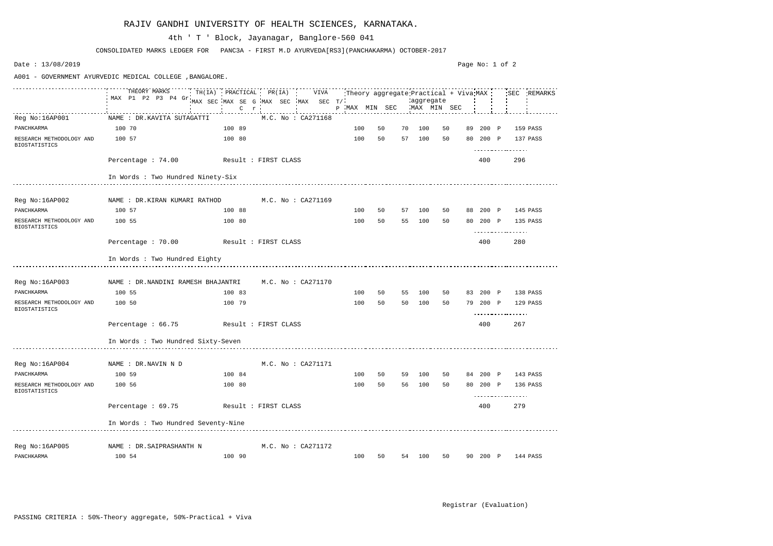A001 - GOVERNMENT AYURVEDIC MEDICAL COLLEGE ,BANGALORE. THEORY MARKS TH(IA) PRACTICAL PR(IA) VIVA Theory aggregate Practical + Viva SEC REMARKS MAX P1 P2 P3 P4 Gr MAX SEC MAX SE G MAX SEC MAX SEC T/ aggregate MAX MIN SEC P MAX MIN SEC C r Reg No:16AP001 NAME : DR.KAVITA SUTAGATTI M.C. No : CA271168 PANCHKARMA 100 70 100 89 100 50 70 100 50 89 200 P 159 PASS RESEARCH METHODOLOGY AND 100 57 100 80 100 50 57 100 50 80 200 P 137 PASS BIOSTATISTICS . . . . . . . . . . . . . . . . . . Percentage : 74.00 Result : FIRST CLASS 400 296 In Words : Two Hundred Ninety-Six Reg No:16AP002 NAME : DR.KIRAN KUMARI RATHOD M.C. No : CA271169 PANCHKARMA 100 57 100 88 100 50 57 100 50 88 200 P 145 PASS RESEARCH METHODOLOGY AND 100 55 100 80 100 50 55 100 50 80 200 P 135 PASS BIOSTATISTICS <u>. . . . . . . . . . . . . . . . .</u> Percentage : 70.00 Result : FIRST CLASS 400 280 In Words : Two Hundred Eighty Reg No:16AP003 NAME : DR.NANDINI RAMESH BHAJANTRI M.C. No : CA271170 PANCHKARMA 100 55 100 83 100 50 55 100 50 83 200 P 138 PASS RESEARCH METHODOLOGY AND 100 50 100 79 100 50 50 100 50 79 200 P 129 PASS BIOSTATISTICS . . . . . . . . . . . . . . . . . . Percentage : 66.75 Result : FIRST CLASS 400 267 In Words : Two Hundred Sixty-Seven Reg No:16AP004 NAME : DR.NAVIN N D M.C. No : CA271171 PANCHKARMA 100 59 100 84 100 50 59 100 50 84 200 P 143 PASS RESEARCH METHODOLOGY AND 100 56 100 80 100 50 56 100 50 80 200 P 136 PASS BIOSTATISTICS <u>. . . . . . . . . . . . . . . . .</u> Percentage : 69.75 Result : FIRST CLASS 400 279 In Words : Two Hundred Seventy-Nine Reg No:16AP005 NAME : DR.SAIPRASHANTH N M.C. No : CA271172 PANCHKARMA 100 54 100 90 100 50 54 100 50 90 200 P 144 PASS

CONSOLIDATED MARKS LEDGER FOR PANC3A - FIRST M.D AYURVEDA[RS3](PANCHAKARMA) OCTOBER-2017

#### 4th ' T ' Block, Jayanagar, Banglore-560 041

Date : 13/08/2019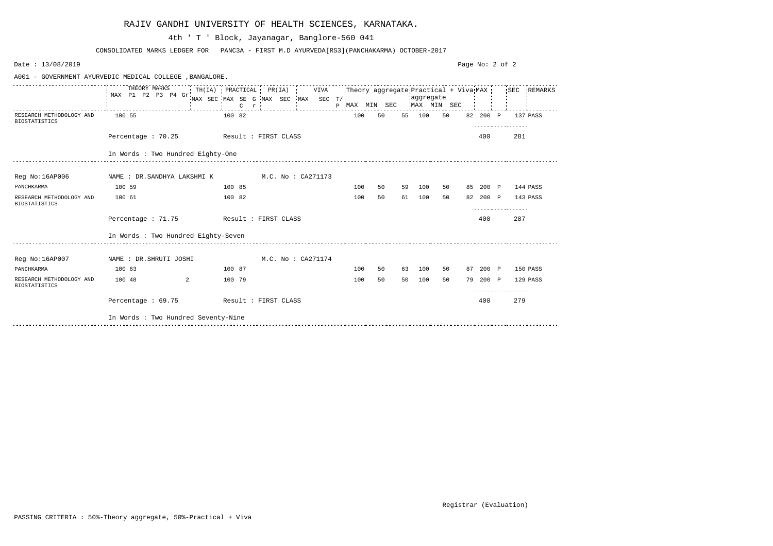| Date: 13/08/2019                                 |                                                          |                                                                                                                                   |                    |                           |    |    |           |    | Page No: 2 of 2 |                        |  |
|--------------------------------------------------|----------------------------------------------------------|-----------------------------------------------------------------------------------------------------------------------------------|--------------------|---------------------------|----|----|-----------|----|-----------------|------------------------|--|
|                                                  | A001 - GOVERNMENT AYURVEDIC MEDICAL COLLEGE , BANGALORE. |                                                                                                                                   |                    |                           |    |    |           |    |                 |                        |  |
|                                                  | THEORY MARKS<br>MAX P1 P2 P3 P4 Gr.                      | TH(IA) PRACTICAL PR(IA) VIVA Theory aggregate Practical + Viva MAX SEC REMARKS<br>MAX SEC MAX SE G MAX SEC MAX SEC T/<br>$C \t r$ |                    | P MAX MIN SEC MAX MIN SEC |    |    | aggregate |    |                 |                        |  |
| RESEARCH METHODOLOGY AND<br><b>BIOSTATISTICS</b> | 100 55                                                   | 100 82                                                                                                                            |                    | 100                       | 50 |    | 55 100    | 50 |                 | 82 200 P 137 PASS<br>. |  |
|                                                  | Percentage : 70.25 Result : FIRST CLASS                  |                                                                                                                                   |                    |                           |    |    |           |    | 400             | 281                    |  |
|                                                  | In Words : Two Hundred Eighty-One                        |                                                                                                                                   |                    |                           |    |    |           |    |                 |                        |  |
| Reg No:16AP006                                   |                                                          |                                                                                                                                   |                    |                           |    |    |           |    |                 |                        |  |
| PANCHKARMA                                       | 100 59                                                   | 100 85                                                                                                                            |                    | 100                       | 50 | 59 | 100       | 50 |                 | 85 200 P 144 PASS      |  |
| RESEARCH METHODOLOGY AND<br><b>BIOSTATISTICS</b> | 100 61                                                   | 100 82                                                                                                                            |                    | 100                       | 50 | 61 | 100       | 50 |                 | 82 200 P 143 PASS      |  |
|                                                  | Percentage : 71.75 Result : FIRST CLASS                  |                                                                                                                                   |                    |                           |    |    |           |    | 400             | 287                    |  |
|                                                  | In Words : Two Hundred Eighty-Seven                      |                                                                                                                                   |                    |                           |    |    |           |    |                 |                        |  |
| Reg No:16AP007                                   | NAME : DR.SHRUTI JOSHI                                   |                                                                                                                                   | M.C. No : CA271174 |                           |    |    |           |    |                 |                        |  |
| PANCHKARMA                                       | 100 63                                                   | 100 87                                                                                                                            |                    | 100                       | 50 | 63 | 100       | 50 | 87 200 P        | 150 PASS               |  |
| RESEARCH METHODOLOGY AND<br><b>BIOSTATISTICS</b> | $\sim$ 2<br>100 48                                       | 100 79                                                                                                                            |                    | 100                       | 50 | 50 | 100       | 50 | 79 200 P        | 129 PASS               |  |
|                                                  | Percentage: 69.75 Result: FIRST CLASS                    |                                                                                                                                   |                    |                           |    |    |           |    | 400             | 279                    |  |
|                                                  | In Words : Two Hundred Seventy-Nine                      |                                                                                                                                   |                    |                           |    |    |           |    |                 |                        |  |

|  |  | RAJIV GANDHI UNIVERSITY OF HEALTH SCIENCES, KARNATAKA. |  |  |  |  |
|--|--|--------------------------------------------------------|--|--|--|--|
|--|--|--------------------------------------------------------|--|--|--|--|

CONSOLIDATED MARKS LEDGER FOR PANC3A - FIRST M.D AYURVEDA[RS3](PANCHAKARMA) OCTOBER-2017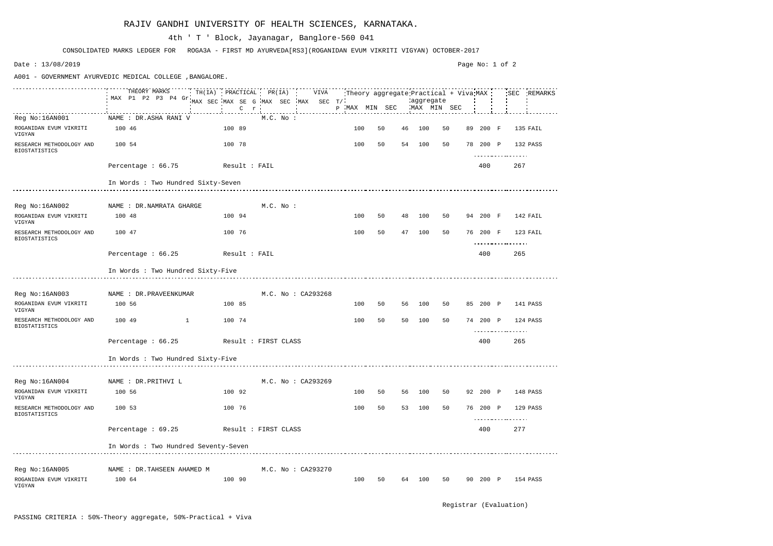|                                                  | THEORY MARKS TH(IA) PRACTICAL PR(IA) VIVA<br>MAX P1 P2 P3 P4 Gr |                                                |             |                    |        | Theory aggregate Practical + Viva MAX |    |                          |    |          |     | SEC REMARKS |
|--------------------------------------------------|-----------------------------------------------------------------|------------------------------------------------|-------------|--------------------|--------|---------------------------------------|----|--------------------------|----|----------|-----|-------------|
|                                                  |                                                                 | MAX SEC MAX SE G MAX SEC MAX SEC T/<br>$C$ $r$ |             |                    |        | P MAX MIN SEC                         |    | aggregate<br>MAX MIN SEC |    |          |     |             |
|                                                  | NAME : DR.ASHA RANI V                                           |                                                |             |                    |        |                                       |    |                          |    |          |     |             |
| Reg No:16AN001                                   |                                                                 |                                                | $M.C.$ No : |                    |        |                                       |    |                          |    |          |     |             |
| ROGANIDAN EVUM VIKRITI<br>VIGYAN                 | 100 46                                                          | 100 89                                         |             |                    | 100    | 50                                    | 46 | 100                      | 50 | 89 200 F |     | 135 FAIL    |
| RESEARCH METHODOLOGY AND<br><b>BIOSTATISTICS</b> | 100 54                                                          | 100 78                                         |             |                    | 100    | 50                                    |    | 54 100                   | 50 | 78 200 P |     | 132 PASS    |
|                                                  | Percentage : 66.75<br>Result : FAIL                             |                                                |             |                    |        |                                       |    |                          |    | 400      | 267 |             |
|                                                  | In Words : Two Hundred Sixty-Seven                              |                                                |             |                    |        |                                       |    |                          |    |          |     |             |
| Reg No:16AN002                                   | NAME : DR.NAMRATA GHARGE                                        |                                                | M.C. No :   |                    |        |                                       |    |                          |    |          |     |             |
|                                                  |                                                                 |                                                |             |                    |        |                                       |    |                          |    |          |     |             |
| ROGANIDAN EVUM VIKRITI<br>VIGYAN                 | 100 48                                                          | 100 94                                         |             |                    | 100    | 50                                    | 48 | 100                      | 50 | 94 200 F |     | 142 FAIL    |
| RESEARCH METHODOLOGY AND<br><b>BIOSTATISTICS</b> | 100 47                                                          | 100 76                                         |             |                    | 100    | 50                                    | 47 | 100                      | 50 | 76 200 F |     | 123 FAIL    |
|                                                  | Percentage : 66.25<br>Result : FAIL                             |                                                |             |                    |        |                                       |    |                          |    | 400      | 265 |             |
|                                                  | In Words : Two Hundred Sixty-Five                               |                                                |             |                    |        |                                       |    |                          |    |          |     |             |
|                                                  |                                                                 |                                                |             |                    |        |                                       |    |                          |    |          |     |             |
| Reg No:16AN003 NAME : DR. PRAVEENKUMAR           |                                                                 |                                                |             | M.C. No: CA293268  |        |                                       |    |                          |    |          |     |             |
| ROGANIDAN EVUM VIKRITI<br>VIGYAN                 | 100 56                                                          | 100 85                                         |             |                    | 100    | 50                                    |    | 56 100                   | 50 | 85 200 P |     | 141 PASS    |
| RESEARCH METHODOLOGY AND<br><b>BIOSTATISTICS</b> | 100 49                                                          | 100 74                                         |             |                    | 100    | 50                                    | 50 | 100                      | 50 | 74 200 P |     | 124 PASS    |
|                                                  | Percentage: 66.25 Result: FIRST CLASS                           |                                                |             |                    |        |                                       |    |                          |    | 400      | 265 |             |
|                                                  | In Words : Two Hundred Sixty-Five                               |                                                |             |                    |        |                                       |    |                          |    |          |     |             |
|                                                  |                                                                 |                                                |             |                    |        |                                       |    |                          |    |          |     |             |
| Reg No:16AN004                                   | NAME : DR. PRITHVI L                                            |                                                |             | M.C. No : CA293269 |        |                                       |    |                          |    |          |     |             |
| ROGANIDAN EVUM VIKRITI<br>VIGYAN                 | 100 56                                                          | 100 92                                         |             |                    | 100    | 50                                    | 56 | 100                      | 50 | 92 200 P |     | 148 PASS    |
| RESEARCH METHODOLOGY AND<br><b>BIOSTATISTICS</b> | 100 53                                                          | 100 76                                         |             |                    | 100    | 50                                    | 53 | 100                      | 50 | 76 200 P | .   | 129 PASS    |
|                                                  | Percentage : 69.25                                              | Result : FIRST CLASS                           |             |                    |        |                                       |    |                          |    | 400      | 277 |             |
|                                                  | In Words : Two Hundred Seventy-Seven                            |                                                |             |                    |        |                                       |    |                          |    |          |     |             |
|                                                  |                                                                 |                                                |             |                    |        |                                       |    |                          |    |          |     |             |
| Reg No:16AN005                                   | NAME : DR.TAHSEEN AHAMED M                                      |                                                |             | M.C. No : CA293270 |        |                                       |    |                          |    |          |     |             |
| ROGANIDAN EVUM VIKRITI<br>VIGYAN                 | 100 64                                                          | 100 90                                         |             |                    | 100 50 |                                       |    | 64 100 50                |    | 90 200 P |     | 154 PASS    |

CONSOLIDATED MARKS LEDGER FOR ROGA3A - FIRST MD AYURVEDA[RS3](ROGANIDAN EVUM VIKRITI VIGYAN) OCTOBER-2017

## 4th ' T ' Block, Jayanagar, Banglore-560 041

Date : 13/08/2019

A001 - GOVERNMENT AYURVEDIC MEDICAL COLLEGE ,BANGALORE.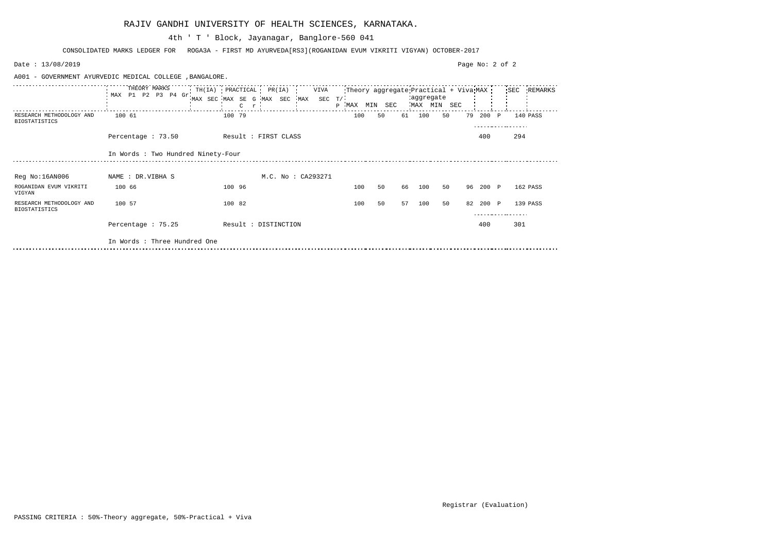| Date: 13/08/2019                                 |                                                          |                                                            | Page No: 2 of 2                                                                                   |
|--------------------------------------------------|----------------------------------------------------------|------------------------------------------------------------|---------------------------------------------------------------------------------------------------|
|                                                  | A001 - GOVERNMENT AYURVEDIC MEDICAL COLLEGE , BANGALORE. |                                                            |                                                                                                   |
|                                                  | THEORY MARKS<br>MAX <sub>1</sub><br>P1 P2 P3 P4 Gr       | $TH(IA)$ PRACTICAL PR(IA)<br>VIVA<br>$\mathsf{C}$<br>$r -$ | Theory aggregate Practical + Viva MAX<br>SEC REMARKS<br>aggregate<br>MAX MIN SEC<br>P MAX MIN SEC |
| RESEARCH METHODOLOGY AND<br><b>BIOSTATISTICS</b> | 100 61                                                   | 100 79                                                     | 100<br>61<br>200<br>50<br>100<br>50<br>79<br>140 PASS<br>$\mathbf{P}$                             |
|                                                  | Percentage : 73.50                                       | Result : FIRST CLASS                                       | 294<br>400                                                                                        |
|                                                  | In Words : Two Hundred Ninety-Four                       |                                                            |                                                                                                   |
| Reg No:16AN006                                   | NAME : DR.VIBHA S                                        | M.C. No : CA293271                                         |                                                                                                   |
| ROGANIDAN EVUM VIKRITI<br>VIGYAN                 | 100 66                                                   | 100 96                                                     | 100<br>50<br>66<br>50<br>100<br>96<br>200 P<br>162 PASS                                           |
| RESEARCH METHODOLOGY AND<br><b>BIOSTATISTICS</b> | 100 57                                                   | 100 82                                                     | 50<br>57<br>100<br>100<br>50<br>200 P<br>139 PASS<br>82                                           |
|                                                  | Percentage : 75.25                                       | Result : DISTINCTION                                       | 301<br>400                                                                                        |
|                                                  | In Words : Three Hundred One                             |                                                            |                                                                                                   |

CONSOLIDATED MARKS LEDGER FOR ROGA3A - FIRST MD AYURVEDA[RS3](ROGANIDAN EVUM VIKRITI VIGYAN) OCTOBER-2017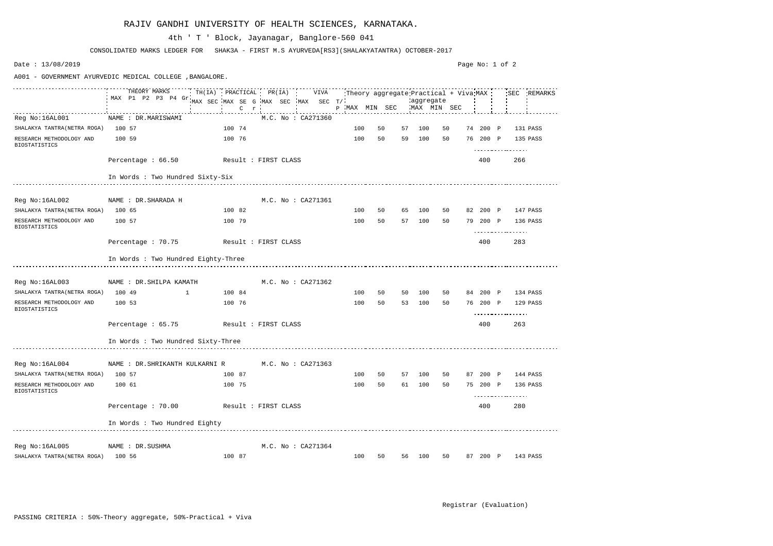Page No: 1 of 2Date : 13/08/2019 A001 - GOVERNMENT AYURVEDIC MEDICAL COLLEGE ,BANGALORE. THEORY MARKS  $\begin{array}{cccccccccccccc} \multicolumn{2}{c}{} & \multicolumn{2}{c}{} & \multicolumn{2}{c}{} & \multicolumn{2}{c}{} & \multicolumn{2}{c}{} & \multicolumn{2}{c}{} & \multicolumn{2}{c}{} & \multicolumn{2}{c}{} & \multicolumn{2}{c}{} & \multicolumn{2}{c}{} & \multicolumn{2}{c}{} & \multicolumn{2}{c}{} & \multicolumn{2}{c}{} & \multicolumn{2}{c}{} & \multicolumn{2}{c}{} & \multicolumn{2}{c}{} & \multicolumn{2}{c}{} & \multicolumn{2}{c}{} & \multicolumn{2}{c}{} & \$ TH(IA) PRACTICAL PR(IA) VIVA Theory aggregate Practical + Viva SEC REMARKS MAX P1 P2 P3 P4 Gr MAX SEC MAX SE G MAX SEC MAX SEC T/ aggregate MAX MIN SEC P MAX MIN SEC C r Reg No:16AL001 NAME : DR.MARISWAMI M.C. No : CA271360 SHALAKYA TANTRA(NETRA ROGA) 100 57 100 74 100 50 57 100 50 74 200 P 131 PASS RESEARCH METHODOLOGY AND 100 59 100 76 100 50 59 100 50 76 200 P 135 PASS BIOSTATISTICS . . . . . . . . . . . . . . . . . . Percentage : 66.50 Result : FIRST CLASS 400 266 In Words : Two Hundred Sixty-Six Reg No:16AL002 MAME : DR.SHARADA H M.C. No : CA271361 SHALAKYA TANTRA(NETRA ROGA) 100 65 100 82 100 50 65 100 50 82 200 P 147 PASS RESEARCH METHODOLOGY AND 100 57 100 79 100 50 57 100 50 79 200 P 136 PASS BIOSTATISTICS <u>. . . . . . . . . . . . . . . . .</u> Percentage : 70.75 Result : FIRST CLASS 400 283 In Words : Two Hundred Eighty-Three Reg No:16AL003 NAME : DR.SHILPA KAMATH M.C. No : CA271362 SHALAKYA TANTRA(NETRA ROGA) 100 49 1 100 84 100 50 50 100 50 84 200 P 134 PASS RESEARCH METHODOLOGY AND 100 53 100 76 100 50 53 100 50 76 200 P 129 PASS BIOSTATISTICS . . . . . . . . . . . . . . . . . . Percentage : 65.75 Result : FIRST CLASS 400 263 In Words : Two Hundred Sixty-Three Reg No:16AL004 MAME : DR.SHRIKANTH KULKARNI R M.C. No : CA271363 SHALAKYA TANTRA(NETRA ROGA) 100 57 100 87 100 50 57 100 50 87 200 P 144 PASS RESEARCH METHODOLOGY AND 100 61 100 75 100 50 61 100 50 75 200 P 136 PASS BIOSTATISTICS <u>. . . . . . . . . . . . . . . . .</u> Percentage : 70.00 Result : FIRST CLASS 400 280 In Words : Two Hundred Eighty Reg No:16AL005 NAME : DR.SUSHMA M.C. No : CA271364 SHALAKYA TANTRA(NETRA ROGA) 100 56 100 87 100 50 56 100 50 87 200 P 143 PASS

CONSOLIDATED MARKS LEDGER FOR SHAK3A - FIRST M.S AYURVEDA[RS3](SHALAKYATANTRA) OCTOBER-2017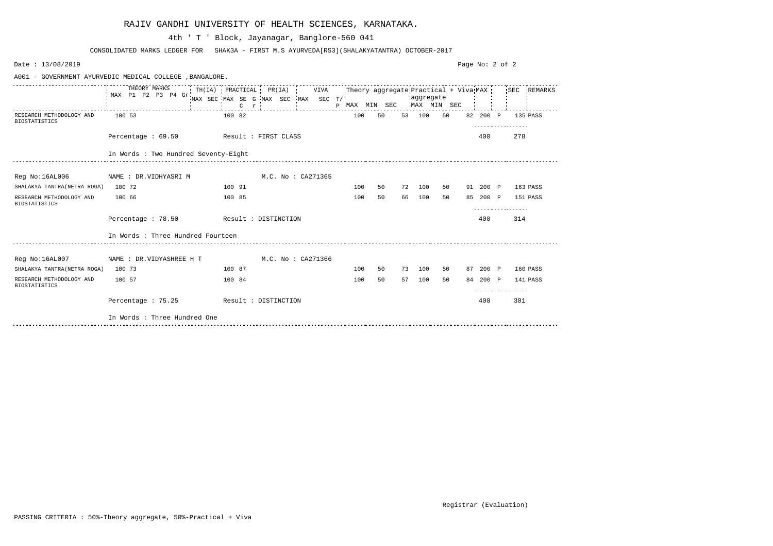|                                                  | A001 - GOVERNMENT AYURVEDIC MEDICAL COLLEGE , BANGALORE. |                                                                                                                       |                |                    |  |     |    |    |                                        |    |  |          |          |          |
|--------------------------------------------------|----------------------------------------------------------|-----------------------------------------------------------------------------------------------------------------------|----------------|--------------------|--|-----|----|----|----------------------------------------|----|--|----------|----------|----------|
|                                                  | THEORY MARKS<br>MAX P1 P2 P3 P4 Gr                       | TH(IA) PRACTICAL PR(IA) VIVA Theory aggregate Practical + Viva MAX SEC REMARKS<br>MAX SEC MAX SE G MAX SEC MAX SEC T/ | $C$ r $\vdots$ |                    |  |     |    |    | aggregate<br>P MAX MIN SEC MAX MIN SEC |    |  |          |          |          |
| RESEARCH METHODOLOGY AND<br><b>BIOSTATISTICS</b> | 100 53                                                   | 100 82                                                                                                                |                |                    |  | 100 | 50 |    | 53 100                                 | 50 |  | 82 200 P |          | 135 PASS |
|                                                  | Percentage: 69.50 Result: FIRST CLASS                    |                                                                                                                       |                |                    |  |     |    |    |                                        |    |  | 400      | 278      |          |
|                                                  | In Words : Two Hundred Seventy-Eight                     |                                                                                                                       |                |                    |  |     |    |    |                                        |    |  |          |          |          |
| Reg No:16AL006                                   | NAME : DR.VIDHYASRI M                                    |                                                                                                                       |                | M.C. No : CA271365 |  |     |    |    |                                        |    |  |          |          |          |
| SHALAKYA TANTRA (NETRA ROGA) 100 72              |                                                          | 100 91                                                                                                                |                |                    |  | 100 | 50 |    | 72 100                                 | 50 |  | 91 200 P | 163 PASS |          |
| RESEARCH METHODOLOGY AND<br><b>BIOSTATISTICS</b> | 100 66                                                   | 100 85                                                                                                                |                |                    |  | 100 | 50 | 66 | 100                                    | 50 |  | 85 200 P | 151 PASS |          |
|                                                  | Percentage : 78.50                                       | Result : DISTINCTION                                                                                                  |                |                    |  |     |    |    |                                        |    |  | 400      | 314      |          |
|                                                  | In Words : Three Hundred Fourteen                        |                                                                                                                       |                |                    |  |     |    |    |                                        |    |  |          |          |          |
|                                                  | Reg No:16AL007 NAME : DR.VIDYASHREE H T                  | M.C. No : CA271366                                                                                                    |                |                    |  |     |    |    |                                        |    |  |          |          |          |
| SHALAKYA TANTRA (NETRA ROGA)                     | 100 73                                                   | 100 87                                                                                                                |                |                    |  | 100 | 50 | 73 | 100                                    | 50 |  | 87 200 P | 160 PASS |          |
| RESEARCH METHODOLOGY AND<br><b>BIOSTATISTICS</b> | 100 57                                                   | 100 84                                                                                                                |                |                    |  | 100 | 50 | 57 | 100                                    | 50 |  | 84 200 P |          | 141 PASS |
|                                                  |                                                          |                                                                                                                       |                |                    |  |     |    |    |                                        |    |  |          |          |          |
|                                                  | Percentage: 75.25                                        | Result : DISTINCTION                                                                                                  |                |                    |  |     |    |    |                                        |    |  | 400      | 301      |          |
|                                                  | In Words : Three Hundred One                             |                                                                                                                       |                |                    |  |     |    |    |                                        |    |  |          |          |          |

RAJIV GANDHI UNIVERSITY OF HEALTH SCIENCES, KARNATAKA.

| CONSOLIDATED MARKS LEDGER FOR |  | SHAK3A - FIRST M.S AYURVEDA[RS3](SHALAKYATANTRA) OCTOBER-2017 |  |
|-------------------------------|--|---------------------------------------------------------------|--|
|                               |  |                                                               |  |

4th ' T ' Block, Jayanagar, Banglore-560 041

Date : 13/08/2019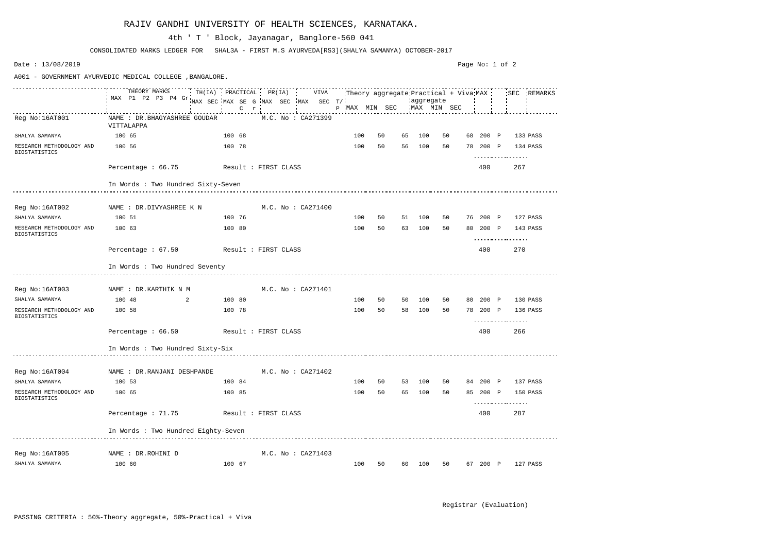|                                                  | THEORY MARKS<br>MAX P1 P2 P3 P4 Gr          | TH(IA) PRACTICAL PR(IA) VIVA        |                        |                            |                           |    |    |        |    |          | Theory aggregate Practical + Viva MAX : SEC REMARKS |
|--------------------------------------------------|---------------------------------------------|-------------------------------------|------------------------|----------------------------|---------------------------|----|----|--------|----|----------|-----------------------------------------------------|
|                                                  |                                             | MAX SEC MAX SE G MAX SEC MAX SEC T/ |                        |                            |                           |    |    |        |    |          |                                                     |
|                                                  |                                             |                                     | $C \t r$               | and the state of the state | p MAX MIN SEC MAX MIN SEC |    |    |        |    |          |                                                     |
| Reg No:16AT001                                   | NAME : DR. BHAGYASHREE GOUDAR<br>VITTALAPPA |                                     | M.C. No : CA271399     |                            |                           |    |    |        |    |          |                                                     |
| SHALYA SAMANYA                                   | 100 65                                      | 100 68                              |                        |                            | 100                       | 50 | 65 | 100    | 50 | 68 200 P | 133 PASS                                            |
| RESEARCH METHODOLOGY AND<br><b>BIOSTATISTICS</b> | 100 56                                      | 100 78                              |                        |                            | 100                       | 50 | 56 | 100    | 50 | 78 200 P | 134 PASS                                            |
|                                                  | Percentage: 66.75 Result: FIRST CLASS       |                                     |                        |                            |                           |    |    |        |    | 400      | 267                                                 |
|                                                  | In Words : Two Hundred Sixty-Seven          |                                     |                        |                            |                           |    |    |        |    |          |                                                     |
| Reg No:16AT002                                   | NAME : DR.DIVYASHREE K N                    |                                     | M.C. No : CA271400     |                            |                           |    |    |        |    |          |                                                     |
| SHALYA SAMANYA                                   | 100 51                                      | 100 76                              |                        |                            | 100                       | 50 |    | 51 100 | 50 | 76 200 P | 127 PASS                                            |
| RESEARCH METHODOLOGY AND<br><b>BIOSTATISTICS</b> | 100 63                                      | 100 80                              |                        |                            | 100                       | 50 |    | 63 100 | 50 | 80 200 P | 143 PASS<br>.                                       |
|                                                  | Percentage : 67.50 Result : FIRST CLASS     |                                     |                        |                            |                           |    |    |        |    | 400      | 270                                                 |
|                                                  | In Words : Two Hundred Seventy              |                                     |                        |                            |                           |    |    |        |    |          |                                                     |
| Reg No:16AT003 NAME : DR.KARTHIK N M             |                                             |                                     | M.C. No : CA271401     |                            |                           |    |    |        |    |          |                                                     |
| SHALYA SAMANYA                                   | 100 48<br>2                                 | 100 80                              |                        |                            | 100                       | 50 |    | 50 100 | 50 | 80 200 P | 130 PASS                                            |
| RESEARCH METHODOLOGY AND                         | 100 58                                      | 100 78                              |                        |                            | 100                       | 50 |    | 58 100 | 50 | 78 200 P | 136 PASS                                            |
| <b>BIOSTATISTICS</b>                             |                                             |                                     |                        |                            |                           |    |    |        |    |          | <u>.</u>                                            |
|                                                  | Percentage: 66.50 Result: FIRST CLASS       |                                     |                        |                            |                           |    |    |        |    | 400      | 266                                                 |
|                                                  | In Words : Two Hundred Sixty-Six            |                                     |                        |                            |                           |    |    |        |    |          |                                                     |
|                                                  |                                             |                                     |                        |                            |                           |    |    |        |    |          |                                                     |
| Reg No:16AT004                                   | NAME : DR.RANJANI DESHPANDE                 |                                     | M.C. No : CA271402     |                            |                           |    |    |        |    |          |                                                     |
| SHALYA SAMANYA                                   | 100 53                                      | 100 84                              |                        |                            | 100                       | 50 | 53 | 100    | 50 | 84 200 P | 137 PASS                                            |
| RESEARCH METHODOLOGY AND<br><b>BIOSTATISTICS</b> | 100 65                                      | 100 85                              |                        |                            | 100                       | 50 | 65 | 100    | 50 | 85 200 P | 150 PASS<br>--------------                          |
|                                                  | Percentage : 71.75                          |                                     | Result : FIRST CLASS   |                            |                           |    |    |        |    | 400      | 287                                                 |
|                                                  | In Words : Two Hundred Eighty-Seven         |                                     |                        |                            |                           |    |    |        |    |          |                                                     |
| Reg No:16AT005                                   | NAME : DR.ROHINI D                          |                                     | $M.C.$ No : $CA271403$ |                            |                           |    |    |        |    |          |                                                     |
| SHALYA SAMANYA                                   | 100 60                                      | 100 67                              |                        |                            | 100                       | 50 | 60 | 100    | 50 | 67 200 P | 127 PASS                                            |

CONSOLIDATED MARKS LEDGER FOR SHAL3A - FIRST M.S AYURVEDA[RS3](SHALYA SAMANYA) OCTOBER-2017

## 4th ' T ' Block, Jayanagar, Banglore-560 041

Date : 13/08/2019

A001 - GOVERNMENT AYURVEDIC MEDICAL COLLEGE ,BANGALORE.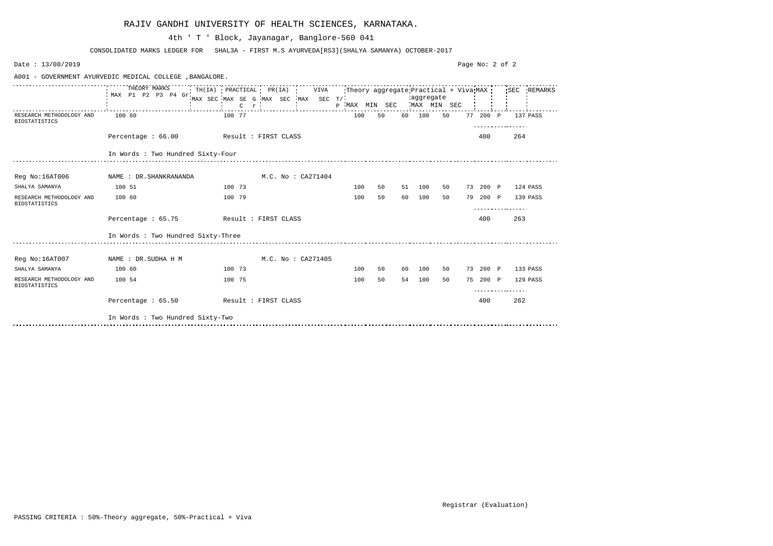| Date: 13/08/2019                                 |                                                          |                                                                                                                                   |                        |  |                           |    |    |           |    | Page No: 2 of 2 |          |                   |          |
|--------------------------------------------------|----------------------------------------------------------|-----------------------------------------------------------------------------------------------------------------------------------|------------------------|--|---------------------------|----|----|-----------|----|-----------------|----------|-------------------|----------|
|                                                  | A001 - GOVERNMENT AYURVEDIC MEDICAL COLLEGE , BANGALORE. |                                                                                                                                   |                        |  |                           |    |    |           |    |                 |          |                   |          |
|                                                  | THEORY MARKS<br>MAX P1 P2 P3 P4 Gr                       | TH(IA) PRACTICAL PR(IA) VIVA Theory aggregate Practical + Viva MAX SEC REMARKS<br>MAX SEC MAX SE G MAX SEC MAX SEC T/<br>$C \t r$ |                        |  | P MAX MIN SEC MAX MIN SEC |    |    | aggregate |    |                 |          |                   |          |
| RESEARCH METHODOLOGY AND<br><b>BIOSTATISTICS</b> | 100 60                                                   | 100 77                                                                                                                            |                        |  | 100                       | 50 |    | 60 100    | 50 |                 | 77 200 P | 137 PASS<br>.     |          |
|                                                  | Percentage: 66.00                                        | Result : FIRST CLASS                                                                                                              |                        |  |                           |    |    |           |    |                 | 400      | 264               |          |
|                                                  | In Words : Two Hundred Sixty-Four                        |                                                                                                                                   |                        |  |                           |    |    |           |    |                 |          |                   |          |
| Reg No:16AT006                                   | NAME : DR. SHANKRANANDA                                  |                                                                                                                                   | $M.C.$ No : $CA271404$ |  |                           |    |    |           |    |                 |          |                   |          |
| SHALYA SAMANYA                                   | 100 51                                                   | 100 73                                                                                                                            |                        |  | 100                       | 50 |    | 51 100    | 50 |                 |          | 73 200 P 124 PASS |          |
| RESEARCH METHODOLOGY AND<br><b>BIOSTATISTICS</b> | 100 60                                                   | 100 79                                                                                                                            |                        |  | 100                       | 50 |    | 60 100    | 50 |                 |          | 79 200 P 139 PASS |          |
|                                                  | Percentage: 65.75                                        | Result : FIRST CLASS                                                                                                              |                        |  |                           |    |    |           |    |                 | 400      | 263               |          |
|                                                  | In Words : Two Hundred Sixty-Three                       |                                                                                                                                   |                        |  |                           |    |    |           |    |                 |          |                   |          |
| Reg No:16AT007                                   | NAME : DR.SUDHA H M                                      |                                                                                                                                   | M.C. No : CA271405     |  |                           |    |    |           |    |                 |          |                   |          |
| SHALYA SAMANYA                                   | 100 60                                                   | 100 73                                                                                                                            |                        |  | 100                       | 50 | 60 | 100       | 50 |                 |          | 73 200 P 133 PASS |          |
| RESEARCH METHODOLOGY AND<br><b>BIOSTATISTICS</b> | 100 54                                                   | 100 75                                                                                                                            |                        |  | 100                       | 50 | 54 | 100       | 50 |                 | 75 200 P | .                 | 129 PASS |
|                                                  | Percentage: 65.50 Result: FIRST CLASS                    |                                                                                                                                   |                        |  |                           |    |    |           |    |                 | 400      | 262               |          |
|                                                  | In Words : Two Hundred Sixty-Two                         |                                                                                                                                   |                        |  |                           |    |    |           |    |                 |          |                   |          |

|  |  | RAJIV GANDHI UNIVERSITY OF HEALTH SCIENCES, KARNATAKA. |  |  |  |  |
|--|--|--------------------------------------------------------|--|--|--|--|
|--|--|--------------------------------------------------------|--|--|--|--|

CONSOLIDATED MARKS LEDGER FOR SHAL3A - FIRST M.S AYURVEDA[RS3](SHALYA SAMANYA) OCTOBER-2017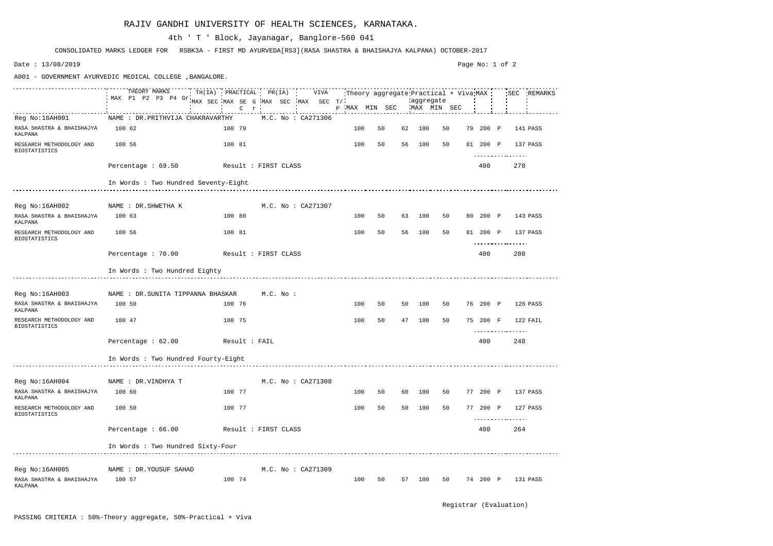|                                                            | THEORY MARKS TH(IA) PRACTICAL PR(IA) VIVA Theory aggregate Practical + Viva MAX SEC REMARKS<br>MAX P1 P2 P3 P4 Gr |                                     |        |         |  |                    |               |    |    |                          |    |          |                      |          |
|------------------------------------------------------------|-------------------------------------------------------------------------------------------------------------------|-------------------------------------|--------|---------|--|--------------------|---------------|----|----|--------------------------|----|----------|----------------------|----------|
|                                                            |                                                                                                                   | MAX SEC MAX SE G MAX SEC MAX SEC T/ |        |         |  |                    | P MAX MIN SEC |    |    | aggregate<br>MAX MIN SEC |    |          |                      |          |
|                                                            |                                                                                                                   |                                     |        | $C$ $r$ |  |                    |               |    |    |                          |    |          |                      |          |
| Reg No:16AH001                                             | NAME : DR. PRITHVIJA CHAKRAVARTHY                                                                                 |                                     |        |         |  | M.C. No : CA271306 |               |    |    |                          |    |          |                      |          |
| RASA SHASTRA & BHAISHAJYA<br>KALPANA                       | 100 62                                                                                                            |                                     | 100 79 |         |  |                    | 100           | 50 | 62 | 100                      | 50 | 79 200 P |                      | 141 PASS |
| RESEARCH METHODOLOGY AND<br><b>BIOSTATISTICS</b>           | 100 56                                                                                                            |                                     | 100 81 |         |  |                    | 100           | 50 | 56 | 100                      | 50 | 81 200 P |                      | 137 PASS |
|                                                            |                                                                                                                   |                                     |        |         |  |                    |               |    |    |                          |    |          | .                    |          |
|                                                            | Percentage $: 69.50$                                                                                              | Result : FIRST CLASS                |        |         |  |                    |               |    |    |                          |    | 400      | 278                  |          |
|                                                            | In Words : Two Hundred Seventy-Eight                                                                              |                                     |        |         |  |                    |               |    |    |                          |    |          |                      |          |
|                                                            |                                                                                                                   |                                     |        |         |  |                    |               |    |    |                          |    |          |                      |          |
| Reg No:16AH002                                             | NAME : DR.SHWETHA K                                                                                               |                                     |        |         |  | M.C. No : CA271307 |               |    |    |                          |    |          |                      |          |
| RASA SHASTRA & BHAISHAJYA<br>KALPANA                       | 100 63                                                                                                            |                                     | 100 80 |         |  |                    | 100           | 50 | 63 | 100                      | 50 | 80 200 P |                      | 143 PASS |
| RESEARCH METHODOLOGY AND<br><b>BIOSTATISTICS</b>           | 100 56                                                                                                            |                                     | 100 81 |         |  |                    | 100           | 50 | 56 | 100                      | 50 | 81 200 P | $\cdots$             | 137 PASS |
|                                                            | Percentage : 70.00 Result : FIRST CLASS                                                                           |                                     |        |         |  |                    |               |    |    |                          |    | 400      | 280                  |          |
|                                                            | In Words : Two Hundred Eighty                                                                                     |                                     |        |         |  |                    |               |    |    |                          |    |          |                      |          |
|                                                            |                                                                                                                   |                                     |        |         |  |                    |               |    |    |                          |    |          |                      |          |
| Reg No:16AH003 NAME : DR.SUNITA TIPPANNA BHASKAR M.C. No : |                                                                                                                   |                                     |        |         |  |                    |               |    |    |                          |    |          |                      |          |
| RASA SHASTRA & BHAISHAJYA<br>KALPANA                       | 100 50                                                                                                            |                                     | 100 76 |         |  |                    | 100           | 50 | 50 | 100                      | 50 | 76 200 P | 126 PASS             |          |
| RESEARCH METHODOLOGY AND<br><b>BIOSTATISTICS</b>           | 100 47                                                                                                            |                                     | 100 75 |         |  |                    | 100           | 50 | 47 | 100                      | 50 | 75 200 F | 122 FAIL<br><u>.</u> |          |
|                                                            | Percentage : 62.00                                                                                                | Result : FAIL                       |        |         |  |                    |               |    |    |                          |    | 400      | 248                  |          |
|                                                            | In Words : Two Hundred Fourty-Eight                                                                               |                                     |        |         |  |                    |               |    |    |                          |    |          |                      |          |
|                                                            |                                                                                                                   |                                     |        |         |  |                    |               |    |    |                          |    |          |                      |          |
| Reg No:16AH004                                             | NAME : DR.VINDHYA T                                                                                               |                                     |        |         |  | M.C. No: CA271308  |               |    |    |                          |    |          |                      |          |
| RASA SHASTRA & BHAISHAJYA<br>KALPANA                       | 100 60                                                                                                            |                                     | 100 77 |         |  |                    | 100           | 50 | 60 | 100                      | 50 | 77 200 P |                      | 137 PASS |
| RESEARCH METHODOLOGY AND<br><b>BIOSTATISTICS</b>           | 100 50                                                                                                            |                                     | 100 77 |         |  |                    | 100           | 50 |    | 50 100                   | 50 | 77 200 P | .                    | 127 PASS |
|                                                            |                                                                                                                   |                                     |        |         |  |                    |               |    |    |                          |    |          |                      |          |
|                                                            | Percentage : 66.00                                                                                                | Result : FIRST CLASS                |        |         |  |                    |               |    |    |                          |    | 400      | 264                  |          |
|                                                            | In Words : Two Hundred Sixty-Four                                                                                 |                                     |        |         |  |                    |               |    |    |                          |    |          |                      |          |
|                                                            |                                                                                                                   |                                     |        |         |  |                    |               |    |    |                          |    |          |                      |          |
| Reg No:16AH005                                             | NAME : DR.YOUSUF SAHAD                                                                                            |                                     |        |         |  | M.C. No: CA271309  |               |    |    |                          |    |          |                      |          |
| RASA SHASTRA & BHAISHAJYA<br>KALPANA                       | 100 57                                                                                                            |                                     | 100 74 |         |  |                    | 100           | 50 |    | 57 100                   | 50 | 74 200 P |                      | 131 PASS |

CONSOLIDATED MARKS LEDGER FOR RSBK3A - FIRST MD AYURVEDA[RS3](RASA SHASTRA & BHAISHAJYA KALPANA) OCTOBER-2017

## 4th ' T ' Block, Jayanagar, Banglore-560 041

Date : 13/08/2019

A001 - GOVERNMENT AYURVEDIC MEDICAL COLLEGE ,BANGALORE.